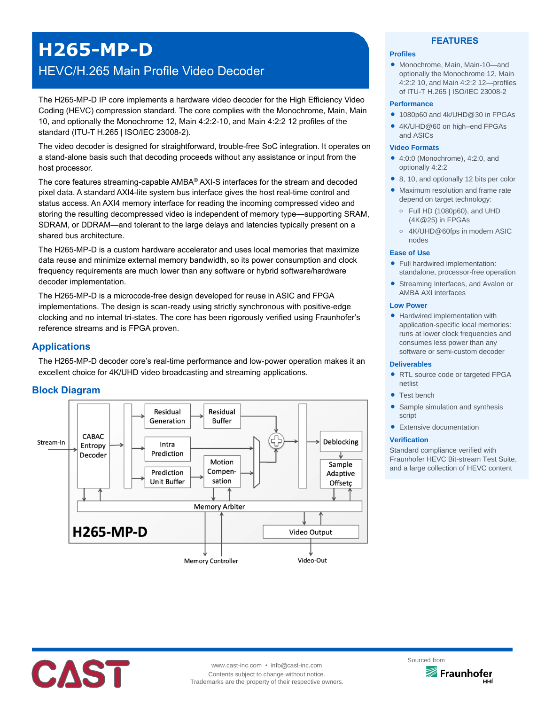# **H265-MP-D**

# HEVC/H.265 Main Profile Video Decoder

The H265-MP-D IP core implements a hardware video decoder for the High Efficiency Video Coding (HEVC) compression standard. The core complies with the Monochrome, Main, Main 10, and optionally the Monochrome 12, Main 4:2:2-10, and Main 4:2:2 12 profiles of the standard (ITU-T H.265 | ISO/IEC 23008-2).

The video decoder is designed for straightforward, trouble-free SoC integration. It operates on a stand-alone basis such that decoding proceeds without any assistance or input from the host processor.

The core features streaming-capable AMBA® AXI-S interfaces for the stream and decoded pixel data. A standard AXI4-lite system bus interface gives the host real-time control and status access. An AXI4 memory interface for reading the incoming compressed video and storing the resulting decompressed video is independent of memory type—supporting SRAM, SDRAM, or DDRAM—and tolerant to the large delays and latencies typically present on a shared bus architecture.

The H265-MP-D is a custom hardware accelerator and uses local memories that maximize data reuse and minimize external memory bandwidth, so its power consumption and clock frequency requirements are much lower than any software or hybrid software/hardware decoder implementation.

The H265-MP-D is a microcode-free design developed for reuse in ASIC and FPGA implementations. The design is scan-ready using strictly synchronous with positive-edge clocking and no internal tri-states. The core has been rigorously verified using Fraunhofer's reference streams and is FPGA proven.

# **Applications**

The H265-MP-D decoder core's real-time performance and low-power operation makes it an excellent choice for 4K/UHD video broadcasting and streaming applications.

# **Block Diagram**



## **FEATURES**

#### **Profiles**

 Monochrome, Main, Main-10—and optionally the Monochrome 12, Main 4:2:2 10, and Main 4:2:2 12—profiles of ITU-T H.265 | ISO/IEC 23008-2

#### **Performance**

- 1080p60 and 4k/UHD@30 in FPGAs
- 4K/UHD@60 on high–end FPGAs and ASICs

#### **Video Formats**

- 4:0:0 (Monochrome), 4:2:0, and optionally 4:2:2
- 8, 10, and optionally 12 bits per color
- Maximum resolution and frame rate depend on target technology:
	- **o** Full HD (1080p60), and UHD (4K@25) in FPGAs
	- **o** 4K/UHD@60fps in modern ASIC nodes

# **Ease of Use**

- Full hardwired implementation: standalone, processor-free operation
- **Streaming Interfaces, and Avalon or** AMBA AXI interfaces

#### **Low Power**

• Hardwired implementation with application-specific local memories: runs at lower clock frequencies and consumes less power than any software or semi-custom decoder

#### **Deliverables**

- RTL source code or targeted FPGA netlist
- **Test bench**
- Sample simulation and synthesis script
- **•** Extensive documentation

#### **Verification**

Standard compliance verified with Fraunhofer HEVC Bit-stream Test Suite, and a large collection of HEVC content



www.cast-inc.com • info@cast-inc.com Contents subject to change without notice. Trademarks are the property of their respective owners.